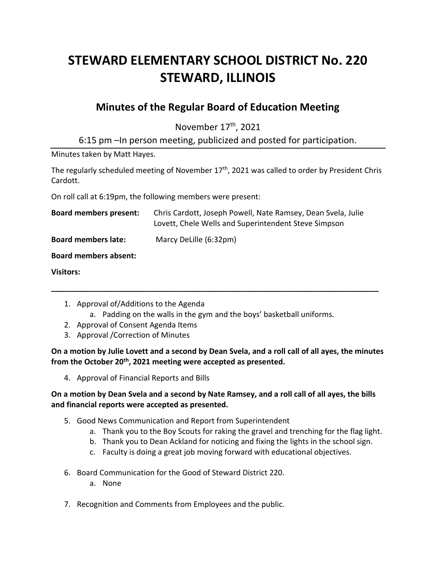# **STEWARD ELEMENTARY SCHOOL DISTRICT No. 220 STEWARD, ILLINOIS**

# **Minutes of the Regular Board of Education Meeting**

November 17<sup>th</sup>, 2021

6:15 pm –In person meeting, publicized and posted for participation.

Minutes taken by Matt Hayes.

The regularly scheduled meeting of November  $17<sup>th</sup>$ , 2021 was called to order by President Chris Cardott.

On roll call at 6:19pm, the following members were present:

| <b>Board members present:</b> | Chris Cardott, Joseph Powell, Nate Ramsey, Dean Svela, Julie<br>Lovett, Chele Wells and Superintendent Steve Simpson |
|-------------------------------|----------------------------------------------------------------------------------------------------------------------|
| <b>Board members late:</b>    | Marcy DeLille (6:32pm)                                                                                               |
| <b>Board members absent:</b>  |                                                                                                                      |

**Visitors:**

- 1. Approval of/Additions to the Agenda
	- a. Padding on the walls in the gym and the boys' basketball uniforms.

**\_\_\_\_\_\_\_\_\_\_\_\_\_\_\_\_\_\_\_\_\_\_\_\_\_\_\_\_\_\_\_\_\_\_\_\_\_\_\_\_\_\_\_\_\_\_\_\_\_\_\_\_\_\_\_\_\_\_\_\_\_\_\_\_\_\_\_\_\_\_\_\_\_\_\_\_\_**

- 2. Approval of Consent Agenda Items
- 3. Approval /Correction of Minutes

**On a motion by Julie Lovett and a second by Dean Svela, and a roll call of all ayes, the minutes from the October 20th, 2021 meeting were accepted as presented.**

4. Approval of Financial Reports and Bills

# **On a motion by Dean Svela and a second by Nate Ramsey, and a roll call of all ayes, the bills and financial reports were accepted as presented.**

- 5. Good News Communication and Report from Superintendent
	- a. Thank you to the Boy Scouts for raking the gravel and trenching for the flag light.
	- b. Thank you to Dean Ackland for noticing and fixing the lights in the school sign.
	- c. Faculty is doing a great job moving forward with educational objectives.
- 6. Board Communication for the Good of Steward District 220.
	- a. None
- 7. Recognition and Comments from Employees and the public.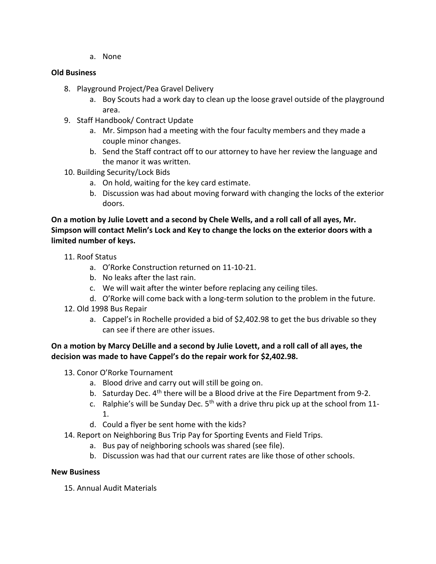a. None

#### **Old Business**

- 8. Playground Project/Pea Gravel Delivery
	- a. Boy Scouts had a work day to clean up the loose gravel outside of the playground area.
- 9. Staff Handbook/ Contract Update
	- a. Mr. Simpson had a meeting with the four faculty members and they made a couple minor changes.
	- b. Send the Staff contract off to our attorney to have her review the language and the manor it was written.
- 10. Building Security/Lock Bids
	- a. On hold, waiting for the key card estimate.
	- b. Discussion was had about moving forward with changing the locks of the exterior doors.

**On a motion by Julie Lovett and a second by Chele Wells, and a roll call of all ayes, Mr. Simpson will contact Melin's Lock and Key to change the locks on the exterior doors with a limited number of keys.**

- 11. Roof Status
	- a. O'Rorke Construction returned on 11-10-21.
	- b. No leaks after the last rain.
	- c. We will wait after the winter before replacing any ceiling tiles.
	- d. O'Rorke will come back with a long-term solution to the problem in the future.
- 12. Old 1998 Bus Repair
	- a. Cappel's in Rochelle provided a bid of \$2,402.98 to get the bus drivable so they can see if there are other issues.

#### **On a motion by Marcy DeLille and a second by Julie Lovett, and a roll call of all ayes, the decision was made to have Cappel's do the repair work for \$2,402.98.**

- 13. Conor O'Rorke Tournament
	- a. Blood drive and carry out will still be going on.
	- b. Saturday Dec. 4<sup>th</sup> there will be a Blood drive at the Fire Department from 9-2.
	- c. Ralphie's will be Sunday Dec.  $5<sup>th</sup>$  with a drive thru pick up at the school from 11-1.
	- d. Could a flyer be sent home with the kids?
- 14. Report on Neighboring Bus Trip Pay for Sporting Events and Field Trips.
	- a. Bus pay of neighboring schools was shared (see file).
	- b. Discussion was had that our current rates are like those of other schools.

#### **New Business**

15. Annual Audit Materials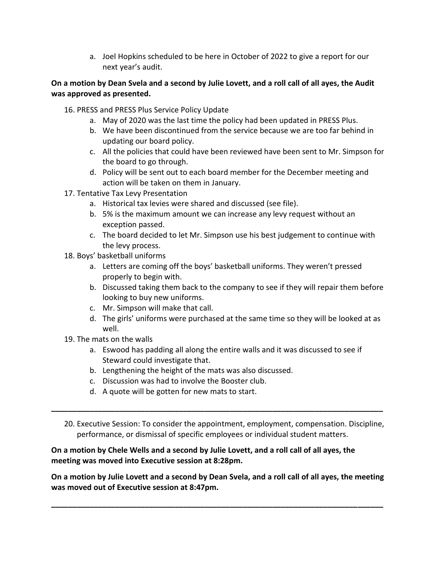a. Joel Hopkins scheduled to be here in October of 2022 to give a report for our next year's audit.

# **On a motion by Dean Svela and a second by Julie Lovett, and a roll call of all ayes, the Audit was approved as presented.**

- 16. PRESS and PRESS Plus Service Policy Update
	- a. May of 2020 was the last time the policy had been updated in PRESS Plus.
	- b. We have been discontinued from the service because we are too far behind in updating our board policy.
	- c. All the policies that could have been reviewed have been sent to Mr. Simpson for the board to go through.
	- d. Policy will be sent out to each board member for the December meeting and action will be taken on them in January.
- 17. Tentative Tax Levy Presentation
	- a. Historical tax levies were shared and discussed (see file).
	- b. 5% is the maximum amount we can increase any levy request without an exception passed.
	- c. The board decided to let Mr. Simpson use his best judgement to continue with the levy process.
- 18. Boys' basketball uniforms
	- a. Letters are coming off the boys' basketball uniforms. They weren't pressed properly to begin with.
	- b. Discussed taking them back to the company to see if they will repair them before looking to buy new uniforms.
	- c. Mr. Simpson will make that call.
	- d. The girls' uniforms were purchased at the same time so they will be looked at as well.
- 19. The mats on the walls
	- a. Eswood has padding all along the entire walls and it was discussed to see if Steward could investigate that.
	- b. Lengthening the height of the mats was also discussed.
	- c. Discussion was had to involve the Booster club.
	- d. A quote will be gotten for new mats to start.
- 20. Executive Session: To consider the appointment, employment, compensation. Discipline, performance, or dismissal of specific employees or individual student matters.

**\_\_\_\_\_\_\_\_\_\_\_\_\_\_\_\_\_\_\_\_\_\_\_\_\_\_\_\_\_\_\_\_\_\_\_\_\_\_\_\_\_\_\_\_\_\_\_\_\_\_\_\_\_\_\_\_\_\_\_\_\_\_\_\_\_\_\_\_\_\_\_\_\_\_\_\_\_\_**

# **On a motion by Chele Wells and a second by Julie Lovett, and a roll call of all ayes, the meeting was moved into Executive session at 8:28pm.**

**On a motion by Julie Lovett and a second by Dean Svela, and a roll call of all ayes, the meeting was moved out of Executive session at 8:47pm.**

**\_\_\_\_\_\_\_\_\_\_\_\_\_\_\_\_\_\_\_\_\_\_\_\_\_\_\_\_\_\_\_\_\_\_\_\_\_\_\_\_\_\_\_\_\_\_\_\_\_\_\_\_\_\_\_\_\_\_\_\_\_\_\_\_\_\_\_\_\_\_\_\_\_\_\_\_\_\_**